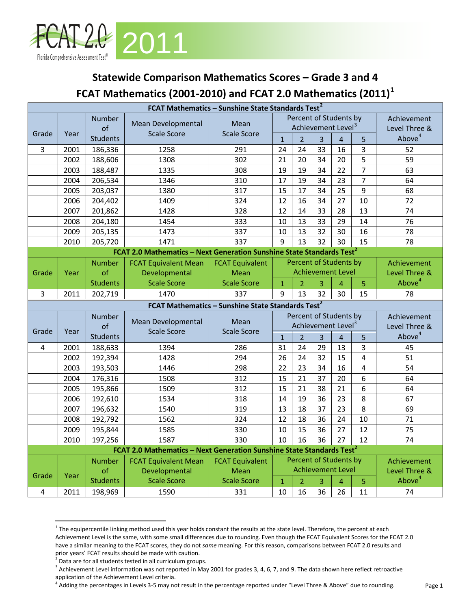

## **Statewide Comparison Mathematics Scores – Grade 3 and 4 FCAT Mathematics (2001-2010) and FCAT 2.0 Mathematics (2011)[1](#page-0-0)**

|                                                               | FCAT Mathematics - Sunshine State Standards Test <sup>2</sup> |                 |                                                                                   |                            |                                |                                |                |                          |                 |                    |
|---------------------------------------------------------------|---------------------------------------------------------------|-----------------|-----------------------------------------------------------------------------------|----------------------------|--------------------------------|--------------------------------|----------------|--------------------------|-----------------|--------------------|
|                                                               |                                                               | Number          |                                                                                   |                            | Percent of Students by         |                                |                |                          |                 | Achievement        |
|                                                               |                                                               | of              | Mean Developmental                                                                | Mean<br><b>Scale Score</b> | Achievement Level <sup>3</sup> |                                |                |                          |                 | Level Three &      |
| Grade                                                         | Year                                                          | <b>Students</b> | <b>Scale Score</b>                                                                |                            | $\mathbf{1}$                   | $\overline{2}$                 | $\overline{3}$ | $\overline{4}$           | 5               | Above <sup>4</sup> |
| $\overline{3}$                                                | 2001                                                          | 186,336         | 1258                                                                              | 291                        | 24                             | 24                             | 33             | 16                       | 3               | 52                 |
|                                                               | 2002                                                          | 188,606         | 1308                                                                              | 302                        | 21                             | 20                             | 34             | 20                       | 5               | 59                 |
|                                                               | 2003                                                          | 188,487         | 1335                                                                              | 308                        | 19                             | 19                             | 34             | 22                       | $\overline{7}$  | 63                 |
|                                                               | 2004                                                          | 206,534         | 1346                                                                              | 310                        | 17                             | 19                             | 34             | 23                       | $\overline{7}$  | 64                 |
|                                                               | 2005                                                          | 203,037         | 1380                                                                              | 317                        | 15                             | 17                             | 34             | $\overline{25}$          | $\overline{9}$  | 68                 |
|                                                               | 2006                                                          | 204,402         | 1409                                                                              | 324                        | 12                             | 16                             | 34             | 27                       | 10              | 72                 |
|                                                               | 2007                                                          | 201,862         | 1428                                                                              | 328                        | 12                             | 14                             | 33             | 28                       | 13              | 74                 |
|                                                               | 2008                                                          | 204,180         | 1454                                                                              | 333                        | 10                             | 13                             | 33             | 29                       | 14              | 76                 |
|                                                               | 2009                                                          | 205,135         | 1473                                                                              | 337                        | 10                             | 13                             | 32             | 30                       | 16              | 78                 |
|                                                               | 2010                                                          | 205,720         | 1471                                                                              | 337                        | 9                              | 13                             | 32             | 30                       | 15              | 78                 |
|                                                               |                                                               |                 | FCAT 2.0 Mathematics - Next Generation Sunshine State Standards Test <sup>2</sup> |                            |                                |                                |                |                          |                 |                    |
|                                                               |                                                               | <b>Number</b>   | <b>FCAT Equivalent Mean</b>                                                       | <b>FCAT Equivalent</b>     |                                | Percent of Students by         |                |                          |                 | Achievement        |
| Grade                                                         | Year                                                          | of              | Developmental                                                                     | Mean                       |                                |                                |                | <b>Achievement Level</b> |                 | Level Three &      |
|                                                               |                                                               | <b>Students</b> | <b>Scale Score</b>                                                                | <b>Scale Score</b>         | $\mathbf{1}$                   | $\overline{2}$                 | 3              | $\overline{4}$           | 5               | Above <sup>4</sup> |
| 3                                                             | 2011                                                          | 202,719         | 1470                                                                              | 337                        | 9                              | 13                             | 32             | 30                       | 15              | 78                 |
| FCAT Mathematics - Sunshine State Standards Test <sup>2</sup> |                                                               |                 |                                                                                   |                            |                                |                                |                |                          |                 |                    |
|                                                               |                                                               |                 |                                                                                   |                            |                                |                                |                |                          |                 |                    |
|                                                               |                                                               | Number          |                                                                                   |                            |                                | Percent of Students by         |                |                          |                 | Achievement        |
|                                                               |                                                               | of              | Mean Developmental                                                                | Mean                       |                                | Achievement Level <sup>3</sup> |                |                          |                 | Level Three &      |
| Grade                                                         | Year                                                          | <b>Students</b> | <b>Scale Score</b>                                                                | <b>Scale Score</b>         | $\mathbf{1}$                   | $\overline{2}$                 | $\overline{3}$ | $\overline{4}$           | 5               | Above <sup>4</sup> |
| 4                                                             | 2001                                                          | 188,633         | 1394                                                                              | 286                        | 31                             | 24                             | 29             | 13                       | 3               | 45                 |
|                                                               | 2002                                                          | 192,394         | 1428                                                                              | 294                        | 26                             | 24                             | 32             | 15                       | 4               | 51                 |
|                                                               | 2003                                                          | 193,503         | 1446                                                                              | 298                        | 22                             | 23                             | 34             | 16                       | 4               | 54                 |
|                                                               | 2004                                                          | 176,316         | 1508                                                                              | 312                        | 15                             | 21                             | 37             | 20                       | 6               | 64                 |
|                                                               | 2005                                                          | 195,866         | 1509                                                                              | 312                        | 15                             | 21                             | 38             | 21                       | 6               | 64                 |
|                                                               | 2006                                                          | 192,610         | 1534                                                                              | 318                        | 14                             | 19                             | 36             | 23                       | 8               | 67                 |
|                                                               | 2007                                                          | 196,632         | 1540                                                                              | 319                        | 13                             | 18                             | 37             | 23                       | 8               | 69                 |
|                                                               | 2008                                                          | 192,792         | 1562                                                                              | 324                        | 12                             | 18                             | 36             | 24                       | 10              | 71                 |
|                                                               | 2009                                                          | 195,844         | 1585                                                                              | 330                        | 10                             | 15                             | 36             | 27                       | 12              | 75                 |
|                                                               | 2010                                                          | 197,256         | 1587                                                                              | 330                        | $\overline{10}$                | 16                             | 36             | $\overline{27}$          | $\overline{12}$ | $\overline{74}$    |
|                                                               |                                                               |                 | FCAT 2.0 Mathematics - Next Generation Sunshine State Standards Test <sup>2</sup> |                            |                                |                                |                |                          |                 |                    |
|                                                               |                                                               | <b>Number</b>   | <b>FCAT Equivalent Mean</b>                                                       | <b>FCAT Equivalent</b>     |                                | Percent of Students by         |                |                          |                 | Achievement        |
|                                                               |                                                               | of              | Developmental                                                                     | Mean                       |                                |                                |                | <b>Achievement Level</b> |                 | Level Three &      |
| Grade                                                         | Year                                                          | <b>Students</b> | <b>Scale Score</b>                                                                | <b>Scale Score</b>         | $\overline{1}$                 | $\overline{2}$                 | 3              | $\overline{4}$           | 5               | Above <sup>4</sup> |

<span id="page-0-0"></span> $1$  The equipercentile linking method used this year holds constant the results at the state level. Therefore, the percent at each Achievement Level is the same, with some small differences due to rounding. Even though the FCAT Equivalent Scores for the FCAT 2.0 have a similar meaning to the FCAT scores, they do not *same* meaning. For this reason, comparisons between FCAT 2.0 results and prior years' FCAT results should be made with caution.

ı

 $2$  Data are for all students tested in all curriculum groups.

<span id="page-0-2"></span><span id="page-0-1"></span><sup>&</sup>lt;sup>3</sup> Achievement Level information was not reported in May 2001 for grades 3, 4, 6, 7, and 9. The data shown here reflect retroactive application of the Achievement Level criteria.

<span id="page-0-3"></span><sup>&</sup>lt;sup>4</sup> Adding the percentages in Levels 3-5 may not result in the percentage reported under "Level Three & Above" due to rounding.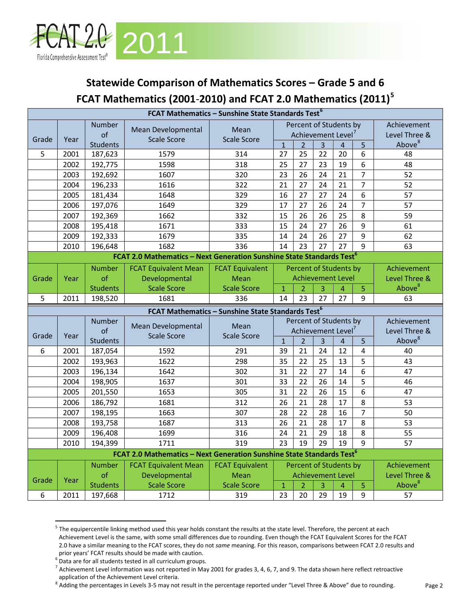

## **Statewide Comparison of Mathematics Scores – Grade 5 and 6 FCAT Mathematics (2001**-**2010) and FCAT 2.0 Mathematics (2011)[5](#page-1-0)**

| FCAT Mathematics - Sunshine State Standards Test <sup>6</sup> |      |                 |                                                                                   |                            |                                                          |                                |                |                |                |                              |
|---------------------------------------------------------------|------|-----------------|-----------------------------------------------------------------------------------|----------------------------|----------------------------------------------------------|--------------------------------|----------------|----------------|----------------|------------------------------|
|                                                               |      | Number<br>of    | Mean Developmental<br><b>Scale Score</b>                                          | Mean<br><b>Scale Score</b> | Percent of Students by<br>Achievement Level <sup>7</sup> |                                |                |                |                | Achievement<br>Level Three & |
| Grade                                                         | Year | <b>Students</b> |                                                                                   |                            | $\overline{1}$                                           | $\overline{2}$                 | $\overline{3}$ | $\overline{4}$ | 5              | Above <sup>8</sup>           |
| 5                                                             | 2001 | 187,623         | 1579                                                                              | 314                        | 27                                                       | 25                             | 22             | 20             | 6              | 48                           |
|                                                               | 2002 | 192,775         | 1598                                                                              | 318                        | 25                                                       | 27                             | 23             | 19             | 6              | 48                           |
|                                                               | 2003 | 192,692         | 1607                                                                              | 320                        | 23                                                       | 26                             | 24             | 21             | $\overline{7}$ | 52                           |
|                                                               | 2004 | 196,233         | 1616                                                                              | 322                        | 21                                                       | 27                             | 24             | 21             | $\overline{7}$ | 52                           |
|                                                               | 2005 | 181,434         | 1648                                                                              | 329                        | 16                                                       | 27                             | 27             | 24             | 6              | 57                           |
|                                                               | 2006 | 197,076         | 1649                                                                              | 329                        | 17                                                       | 27                             | 26             | 24             | $\overline{7}$ | 57                           |
|                                                               | 2007 | 192,369         | 1662                                                                              | 332                        | 15                                                       | 26                             | 26             | 25             | 8              | 59                           |
|                                                               | 2008 | 195,418         | 1671                                                                              | 333                        | 15                                                       | 24                             | 27             | 26             | 9              | 61                           |
|                                                               | 2009 | 192,333         | 1679                                                                              | 335                        | 14                                                       | 24                             | 26             | 27             | 9              | 62                           |
|                                                               | 2010 | 196,648         | 1682                                                                              | 336                        | 14                                                       | 23                             | 27             | 27             | 9              | 63                           |
|                                                               |      |                 | FCAT 2.0 Mathematics - Next Generation Sunshine State Standards Test <sup>6</sup> |                            |                                                          |                                |                |                |                |                              |
|                                                               |      | <b>Number</b>   | <b>FCAT Equivalent Mean</b>                                                       | <b>FCAT Equivalent</b>     |                                                          | Percent of Students by         |                |                |                | Achievement                  |
| Grade                                                         | Year | of              | Developmental                                                                     | Mean                       |                                                          | <b>Achievement Level</b>       |                |                |                | Level Three &                |
|                                                               |      | <b>Students</b> | <b>Scale Score</b>                                                                | <b>Scale Score</b>         | $\overline{1}$                                           | $\overline{2}$                 | 3              | $\overline{4}$ | $\overline{5}$ | Above <sup>8</sup>           |
| 5                                                             | 2011 | 198,520         | 1681                                                                              | 336                        | 14                                                       | 23                             | 27             | 27             | 9              | 63                           |
| FCAT Mathematics - Sunshine State Standards Test <sup>6</sup> |      |                 |                                                                                   |                            |                                                          |                                |                |                |                |                              |
|                                                               |      |                 |                                                                                   |                            |                                                          |                                |                |                |                |                              |
|                                                               |      | Number          |                                                                                   |                            |                                                          | Percent of Students by         |                |                |                | Achievement                  |
|                                                               |      | of              | Mean Developmental                                                                | Mean                       |                                                          | Achievement Level <sup>7</sup> |                |                |                | Level Three &                |
| Grade                                                         | Year | <b>Students</b> | <b>Scale Score</b>                                                                | <b>Scale Score</b>         | $\mathbf{1}$                                             | $\overline{2}$                 | 3              | $\overline{4}$ | 5              | Above <sup>8</sup>           |
| 6                                                             | 2001 | 187,054         | 1592                                                                              | 291                        | 39                                                       | 21                             | 24             | 12             | $\overline{4}$ | 40                           |
|                                                               | 2002 | 193,963         | 1622                                                                              | 298                        | 35                                                       | 22                             | 25             | 13             | 5              | 43                           |
|                                                               | 2003 | 196,134         | 1642                                                                              | 302                        | 31                                                       | 22                             | 27             | 14             | $6\,$          | 47                           |
|                                                               | 2004 | 198,905         | 1637                                                                              | 301                        | 33                                                       | 22                             | 26             | 14             | 5              | 46                           |
|                                                               | 2005 | 201,550         | 1653                                                                              | 305                        | 31                                                       | 22                             | 26             | 15             | 6              | 47                           |
|                                                               | 2006 | 186,792         | 1681                                                                              | 312                        | 26                                                       | 21                             | 28             | 17             | 8              | 53                           |
|                                                               | 2007 | 198,195         | 1663                                                                              | 307                        | 28                                                       | 22                             | 28             | 16             | $\overline{7}$ | 50                           |
|                                                               | 2008 | 193,758         | 1687                                                                              | 313                        | 26                                                       | 21                             | 28             | 17             | 8              | 53                           |
|                                                               | 2009 | 196,408         | 1699                                                                              | 316                        | 24                                                       | 21                             | 29             | 18             | 8              | 55                           |
|                                                               | 2010 | 194,399         | 1711                                                                              | 319                        | 23                                                       | 19                             | 29             | 19             | 9              | 57                           |
|                                                               |      |                 | FCAT 2.0 Mathematics - Next Generation Sunshine State Standards Test <sup>6</sup> |                            |                                                          |                                |                |                |                |                              |
|                                                               |      | <b>Number</b>   | <b>FCAT Equivalent Mean</b>                                                       | <b>FCAT Equivalent</b>     |                                                          | Percent of Students by         |                |                |                | Achievement                  |
|                                                               |      | of              | Developmental                                                                     | Mean                       |                                                          | <b>Achievement Level</b>       |                |                |                | Level Three &                |
| Grade                                                         | Year | <b>Students</b> | <b>Scale Score</b>                                                                | <b>Scale Score</b>         | $\mathbf{1}$                                             | $\overline{2}$                 | 3              | $\overline{A}$ | $\overline{5}$ | Above <sup>8</sup>           |

<span id="page-1-0"></span><sup>&</sup>lt;sup>5</sup> The equipercentile linking method used this year holds constant the results at the state level. Therefore, the percent at each Achievement Level is the same, with some small differences due to rounding. Even though the FCAT Equivalent Scores for the FCAT 2.0 have a similar meaning to the FCAT scores, they do not *same* meaning. For this reason, comparisons between FCAT 2.0 results and prior years' FCAT results should be made with caution.

ı

<span id="page-1-1"></span><sup>6</sup> Data are for all students tested in all curriculum groups.

<span id="page-1-2"></span> $^7$  Achievement Level information was not reported in May 2001 for grades 3, 4, 6, 7, and 9. The data shown here reflect retroactive application of the Achievement Level criteria.

<span id="page-1-3"></span><sup>&</sup>lt;sup>8</sup> Adding the percentages in Levels 3-5 may not result in the percentage reported under "Level Three & Above" due to rounding.